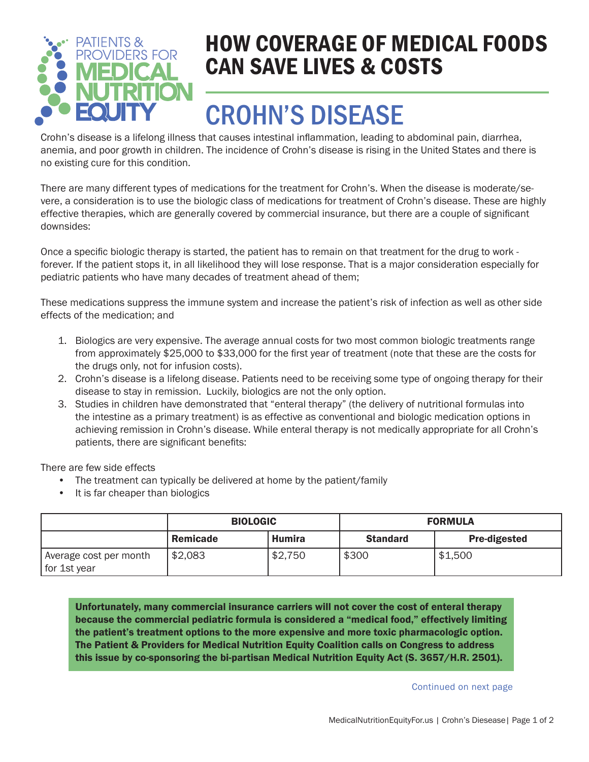

### HOW COVERAGE OF MEDICAL FOODS CAN SAVE LIVES & COSTS

# CROHN'S DISEASE

Crohn's disease is a lifelong illness that causes intestinal inflammation, leading to abdominal pain, diarrhea, anemia, and poor growth in children. The incidence of Crohn's disease is rising in the United States and there is no existing cure for this condition.

There are many different types of medications for the treatment for Crohn's. When the disease is moderate/severe, a consideration is to use the biologic class of medications for treatment of Crohn's disease. These are highly effective therapies, which are generally covered by commercial insurance, but there are a couple of significant downsides:

Once a specific biologic therapy is started, the patient has to remain on that treatment for the drug to work forever. If the patient stops it, in all likelihood they will lose response. That is a major consideration especially for pediatric patients who have many decades of treatment ahead of them;

These medications suppress the immune system and increase the patient's risk of infection as well as other side effects of the medication; and

- 1. Biologics are very expensive. The average annual costs for two most common biologic treatments range from approximately \$25,000 to \$33,000 for the first year of treatment (note that these are the costs for the drugs only, not for infusion costs).
- 2. Crohn's disease is a lifelong disease. Patients need to be receiving some type of ongoing therapy for their disease to stay in remission. Luckily, biologics are not the only option.
- 3. Studies in children have demonstrated that "enteral therapy" (the delivery of nutritional formulas into the intestine as a primary treatment) is as effective as conventional and biologic medication options in achieving remission in Crohn's disease. While enteral therapy is not medically appropriate for all Crohn's patients, there are significant benefits:

There are few side effects

- The treatment can typically be delivered at home by the patient/family
- It is far cheaper than biologics

|                                        | <b>BIOLOGIC</b> |         | <b>FORMULA</b>  |                     |
|----------------------------------------|-----------------|---------|-----------------|---------------------|
|                                        | Remicade        | Humira  | <b>Standard</b> | <b>Pre-digested</b> |
| Average cost per month<br>for 1st year | \$2,083         | \$2,750 | \$300           | \$1,500             |

Unfortunately, many commercial insurance carriers will not cover the cost of enteral therapy because the commercial pediatric formula is considered a "medical food," effectively limiting the patient's treatment options to the more expensive and more toxic pharmacologic option. The Patient & Providers for Medical Nutrition Equity Coalition calls on Congress to address this issue by co-sponsoring the bi-partisan Medical Nutrition Equity Act (S. 3657/H.R. 2501).

Continued on next page